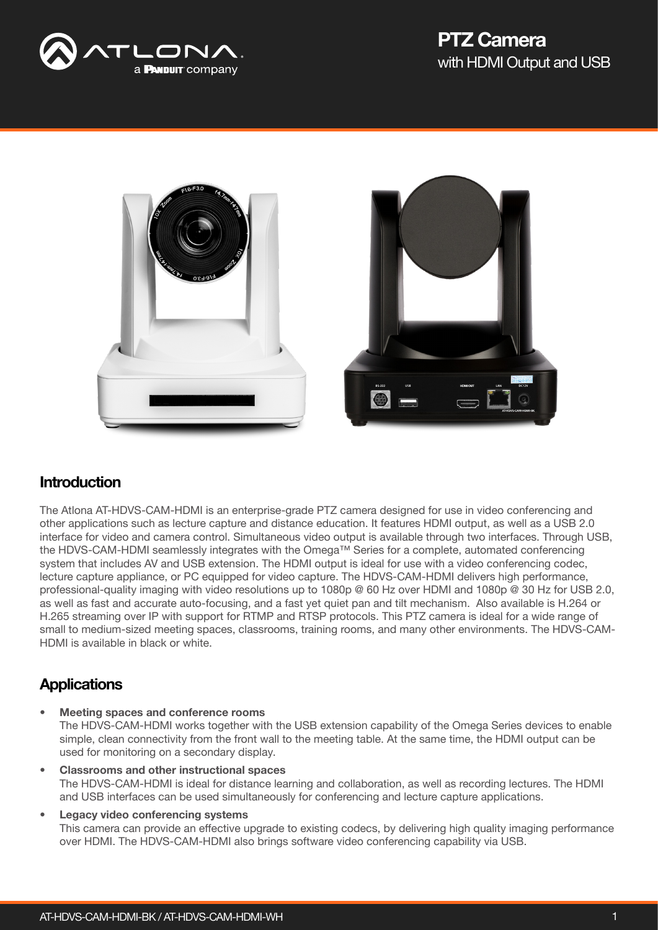



#### Introduction

The Atlona AT-HDVS-CAM-HDMI is an enterprise-grade PTZ camera designed for use in video conferencing and other applications such as lecture capture and distance education. It features HDMI output, as well as a USB 2.0 interface for video and camera control. Simultaneous video output is available through two interfaces. Through USB, the HDVS-CAM-HDMI seamlessly integrates with the Omega™ Series for a complete, automated conferencing system that includes AV and USB extension. The HDMI output is ideal for use with a video conferencing codec, lecture capture appliance, or PC equipped for video capture. The HDVS-CAM-HDMI delivers high performance, professional-quality imaging with video resolutions up to 1080p @ 60 Hz over HDMI and 1080p @ 30 Hz for USB 2.0, as well as fast and accurate auto-focusing, and a fast yet quiet pan and tilt mechanism. Also available is H.264 or H.265 streaming over IP with support for RTMP and RTSP protocols. This PTZ camera is ideal for a wide range of small to medium-sized meeting spaces, classrooms, training rooms, and many other environments. The HDVS-CAM-HDMI is available in black or white.

## **Applications**

• Meeting spaces and conference rooms

The HDVS-CAM-HDMI works together with the USB extension capability of the Omega Series devices to enable simple, clean connectivity from the front wall to the meeting table. At the same time, the HDMI output can be used for monitoring on a secondary display.

- Classrooms and other instructional spaces The HDVS-CAM-HDMI is ideal for distance learning and collaboration, as well as recording lectures. The HDMI and USB interfaces can be used simultaneously for conferencing and lecture capture applications.
- Legacy video conferencing systems This camera can provide an effective upgrade to existing codecs, by delivering high quality imaging performance over HDMI. The HDVS-CAM-HDMI also brings software video conferencing capability via USB.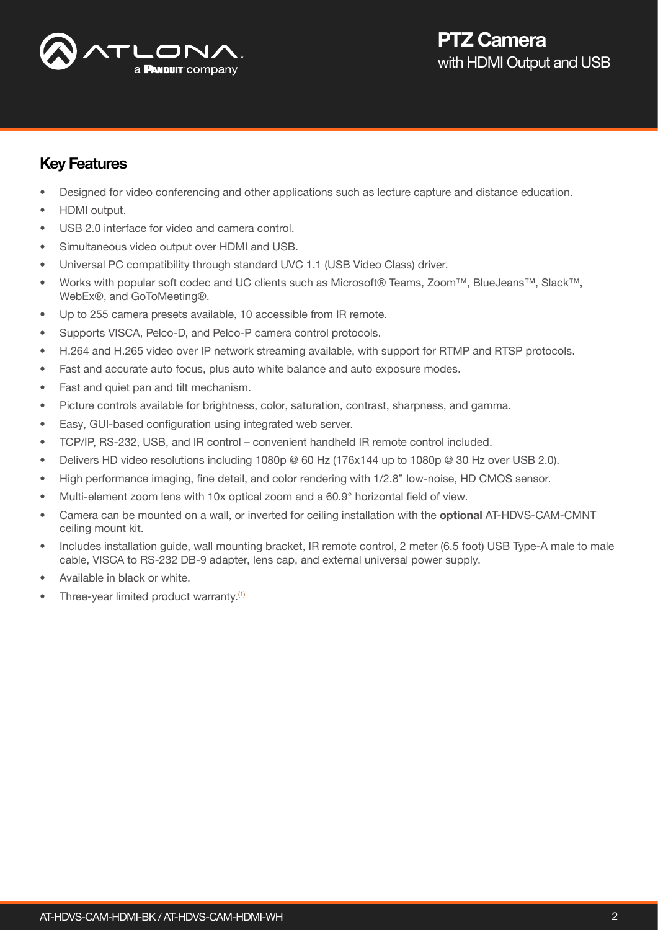

### Key Features

- Designed for video conferencing and other applications such as lecture capture and distance education.
- HDMI output.
- USB 2.0 interface for video and camera control.
- Simultaneous video output over HDMI and USB.
- Universal PC compatibility through standard UVC 1.1 (USB Video Class) driver.
- Works with popular soft codec and UC clients such as Microsoft® Teams, Zoom™, BlueJeans™, Slack™, WebEx®, and GoToMeeting®.
- Up to 255 camera presets available, 10 accessible from IR remote.
- Supports VISCA, Pelco-D, and Pelco-P camera control protocols.
- H.264 and H.265 video over IP network streaming available, with support for RTMP and RTSP protocols.
- Fast and accurate auto focus, plus auto white balance and auto exposure modes.
- Fast and quiet pan and tilt mechanism.
- Picture controls available for brightness, color, saturation, contrast, sharpness, and gamma.
- Easy, GUI-based configuration using integrated web server.
- TCP/IP, RS-232, USB, and IR control convenient handheld IR remote control included.
- Delivers HD video resolutions including 1080p @ 60 Hz (176x144 up to 1080p @ 30 Hz over USB 2.0).
- High performance imaging, fine detail, and color rendering with 1/2.8" low-noise, HD CMOS sensor.
- Multi-element zoom lens with 10x optical zoom and a 60.9° horizontal field of view.
- Camera can be mounted on a wall, or inverted for ceiling installation with the optional AT-HDVS-CAM-CMNT ceiling mount kit.
- Includes installation guide, wall mounting bracket, IR remote control, 2 meter (6.5 foot) USB Type-A male to male cable, VISCA to RS-232 DB-9 adapter, lens cap, and external universal power supply.
- Available in black or white.
- Three-year limited product warranty.<sup>[\(1\)](#page-3-0)</sup>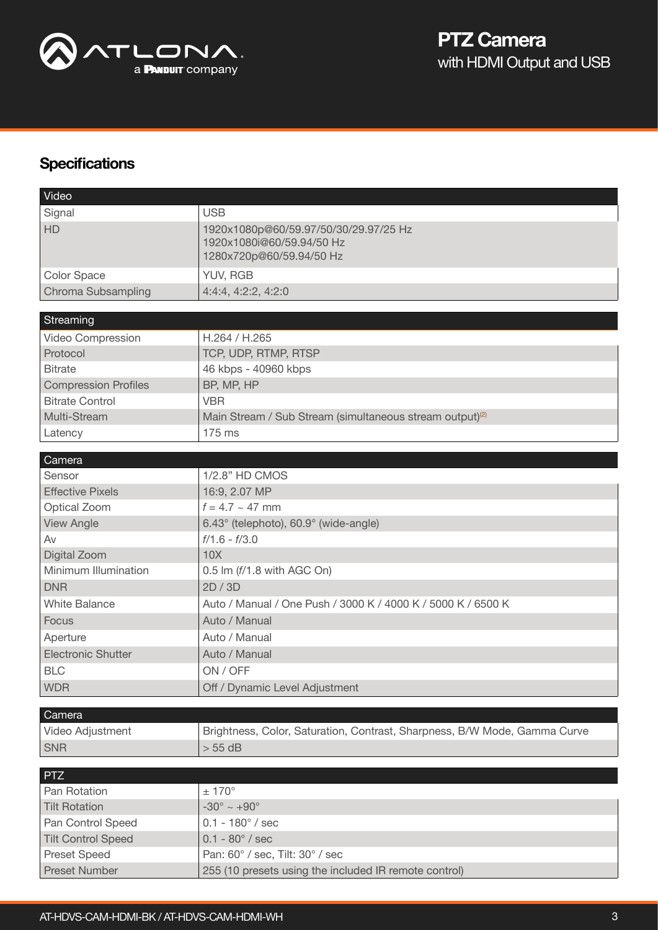

# **Specifications**

| Video                       |                                                                                                |
|-----------------------------|------------------------------------------------------------------------------------------------|
| Signal                      | <b>USB</b>                                                                                     |
| <b>HD</b>                   | 1920x1080p@60/59.97/50/30/29.97/25 Hz<br>1920x1080i@60/59.94/50 Hz<br>1280x720p@60/59.94/50 Hz |
| Color Space                 | YUV, RGB                                                                                       |
| Chroma Subsampling          | 4:4:4, 4:2:2, 4:2:0                                                                            |
|                             |                                                                                                |
| Streaming                   |                                                                                                |
| Video Compression           | H.264 / H.265                                                                                  |
| Protocol                    | TCP, UDP, RTMP, RTSP                                                                           |
| <b>Bitrate</b>              | 46 kbps - 40960 kbps                                                                           |
| <b>Compression Profiles</b> | BP, MP, HP                                                                                     |
| <b>Bitrate Control</b>      | <b>VBR</b>                                                                                     |
| Multi-Stream                | Main Stream / Sub Stream (simultaneous stream output) <sup>(2)</sup>                           |
| Latency                     | 175 ms                                                                                         |
|                             |                                                                                                |
| Camera<br>Sensor            | 1/2.8" HD CMOS                                                                                 |
| <b>Effective Pixels</b>     |                                                                                                |
|                             | 16:9, 2.07 MP<br>$f = 4.7 \sim 47$ mm                                                          |
| Optical Zoom                |                                                                                                |
| <b>View Angle</b>           | 6.43° (telephoto), 60.9° (wide-angle)                                                          |
| Av                          | $f/1.6 - f/3.0$                                                                                |
| Digital Zoom                | 10X                                                                                            |
| Minimum Illumination        | 0.5 lm (f/1.8 with AGC On)                                                                     |
| <b>DNR</b>                  | 2D/3D                                                                                          |
| <b>White Balance</b>        | Auto / Manual / One Push / 3000 K / 4000 K / 5000 K / 6500 K                                   |
| Focus                       | Auto / Manual                                                                                  |
| Aperture                    | Auto / Manual                                                                                  |
| <b>Electronic Shutter</b>   | Auto / Manual                                                                                  |
| <b>BLC</b>                  | ON / OFF                                                                                       |
| <b>WDR</b>                  | Off / Dynamic Level Adjustment                                                                 |
|                             |                                                                                                |
| Camera<br>Video Adjustment  | Brightness, Color, Saturation, Contrast, Sharpness, B/W Mode, Gamma Curve                      |
|                             | $> 55$ dB                                                                                      |
| <b>SNR</b>                  |                                                                                                |
| <b>PTZ</b>                  |                                                                                                |
| Pan Rotation                | $± 170^{\circ}$                                                                                |
| <b>Tilt Rotation</b>        | $-30^{\circ} \sim +90^{\circ}$                                                                 |
| Pan Control Speed           | $0.1 - 180^{\circ}$ / sec                                                                      |
| <b>Tilt Control Speed</b>   | $0.1 - 80^{\circ}$ / sec                                                                       |
| <b>Preset Speed</b>         | Pan: 60° / sec, Tilt: 30° / sec                                                                |
| Preset Number               | 255 (10 presets using the included IR remote control)                                          |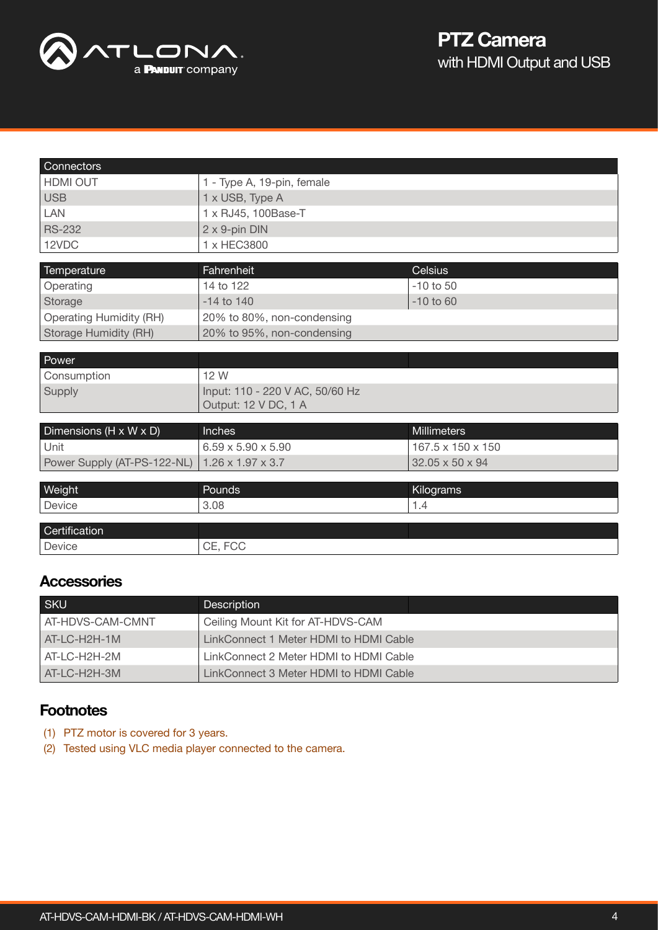

| Connectors                     |                                 |                    |
|--------------------------------|---------------------------------|--------------------|
| <b>HDMI OUT</b>                | 1 - Type A, 19-pin, female      |                    |
| <b>USB</b>                     | 1 x USB, Type A                 |                    |
| LAN                            | 1 x RJ45, 100Base-T             |                    |
| <b>RS-232</b>                  | 2 x 9-pin DIN                   |                    |
| 12VDC                          | 1 x HEC3800                     |                    |
|                                |                                 |                    |
| Temperature                    | Fahrenheit                      | <b>Celsius</b>     |
| Operating                      | 14 to 122                       | $-10$ to $50$      |
| Storage                        | $-14$ to $140$                  | $-10$ to 60        |
| <b>Operating Humidity (RH)</b> | 20% to 80%, non-condensing      |                    |
| Storage Humidity (RH)          | 20% to 95%, non-condensing      |                    |
|                                |                                 |                    |
| Power                          |                                 |                    |
| Consumption                    | 12 W                            |                    |
| Supply                         | Input: 110 - 220 V AC, 50/60 Hz |                    |
|                                | Output: 12 V DC, 1 A            |                    |
|                                | Inches                          | <b>Millimeters</b> |
| Dimensions (H x W x D)         |                                 |                    |
| Unit                           | $6.59 \times 5.90 \times 5.90$  | 167.5 x 150 x 150  |
| Power Supply (AT-PS-122-NL)    | $1.26 \times 1.97 \times 3.7$   | 32.05 x 50 x 94    |
| Weight                         | Pounds                          | Kilograms          |
| Device                         | 3.08                            | 1.4                |
|                                |                                 |                    |
| Certification                  |                                 |                    |
| Device                         | CE, FCC                         |                    |
|                                |                                 |                    |

#### **Accessories**

| <b>SKU</b>       | Description                            |  |
|------------------|----------------------------------------|--|
| AT-HDVS-CAM-CMNT | Ceiling Mount Kit for AT-HDVS-CAM      |  |
| LAT-LC-H2H-1M    | LinkConnect 1 Meter HDMI to HDMI Cable |  |
| AT-LC-H2H-2M     | LinkConnect 2 Meter HDMI to HDMI Cable |  |
| LAT-LC-H2H-3M    | LinkConnect 3 Meter HDMI to HDMI Cable |  |

#### **Footnotes**

- <span id="page-3-0"></span>(1) PTZ motor is covered for 3 years.
- <span id="page-3-1"></span>(2) Tested using VLC media player connected to the camera.